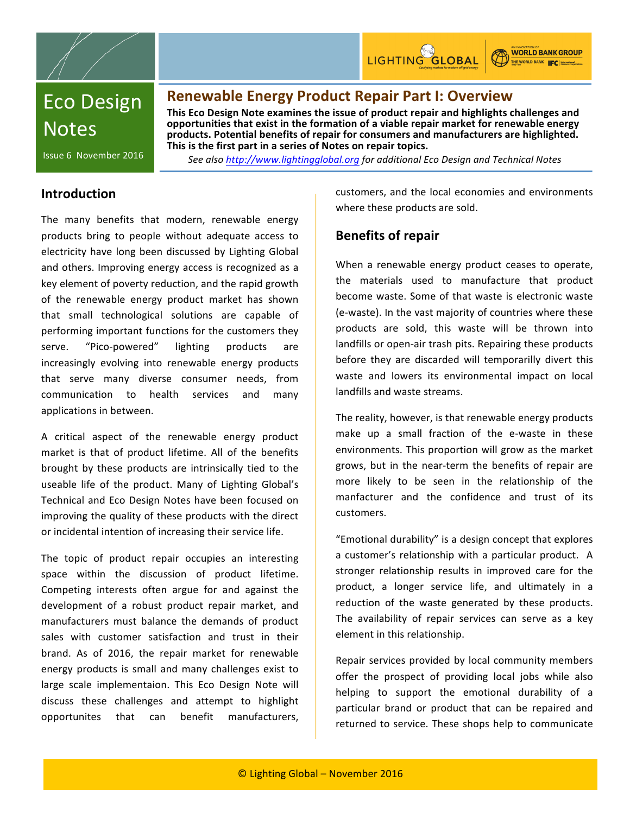



**WORLD BANK GROUP** THE WORLD BANK **IFC** Internation

# **Eco Design Notes**

## **Renewable Energy Product Repair Part I: Overview**

This Eco Design Note examines the issue of product repair and highlights challenges and opportunities that exist in the formation of a viable repair market for renewable energy products. Potential benefits of repair for consumers and manufacturers are highlighted. This is the first part in a series of Notes on repair topics.

Issue 6 November 2016

See also http://www.lightingglobal.org for additional Eco Design and Technical Notes

### **Introduction**

The many benefits that modern, renewable energy products bring to people without adequate access to electricity have long been discussed by Lighting Global and others. Improving energy access is recognized as a key element of poverty reduction, and the rapid growth of the renewable energy product market has shown that small technological solutions are capable of performing important functions for the customers they serve. "Pico-powered" lighting products are increasingly evolving into renewable energy products that serve many diverse consumer needs, from communication to health services and many applications in between.

A critical aspect of the renewable energy product market is that of product lifetime. All of the benefits brought by these products are intrinsically tied to the useable life of the product. Many of Lighting Global's Technical and Eco Design Notes have been focused on improving the quality of these products with the direct or incidental intention of increasing their service life.

The topic of product repair occupies an interesting space within the discussion of product lifetime. Competing interests often argue for and against the development of a robust product repair market, and manufacturers must balance the demands of product sales with customer satisfaction and trust in their brand. As of 2016, the repair market for renewable energy products is small and many challenges exist to large scale implementaion. This Eco Design Note will discuss these challenges and attempt to highlight opportunites that can benefit manufacturers,

customers, and the local economies and environments where these products are sold.

### **Benefits of repair**

When a renewable energy product ceases to operate, the materials used to manufacture that product become waste. Some of that waste is electronic waste (e-waste). In the vast majority of countries where these products are sold, this waste will be thrown into landfills or open-air trash pits. Repairing these products before they are discarded will temporarilly divert this waste and lowers its environmental impact on local landfills and waste streams.

The reality, however, is that renewable energy products make up a small fraction of the e-waste in these environments. This proportion will grow as the market grows, but in the near-term the benefits of repair are more likely to be seen in the relationship of the manfacturer and the confidence and trust of its customers.

"Emotional durability" is a design concept that explores a customer's relationship with a particular product. A stronger relationship results in improved care for the product, a longer service life, and ultimately in a reduction of the waste generated by these products. The availability of repair services can serve as a key element in this relationship.

Repair services provided by local community members offer the prospect of providing local jobs while also helping to support the emotional durability of a particular brand or product that can be repaired and returned to service. These shops help to communicate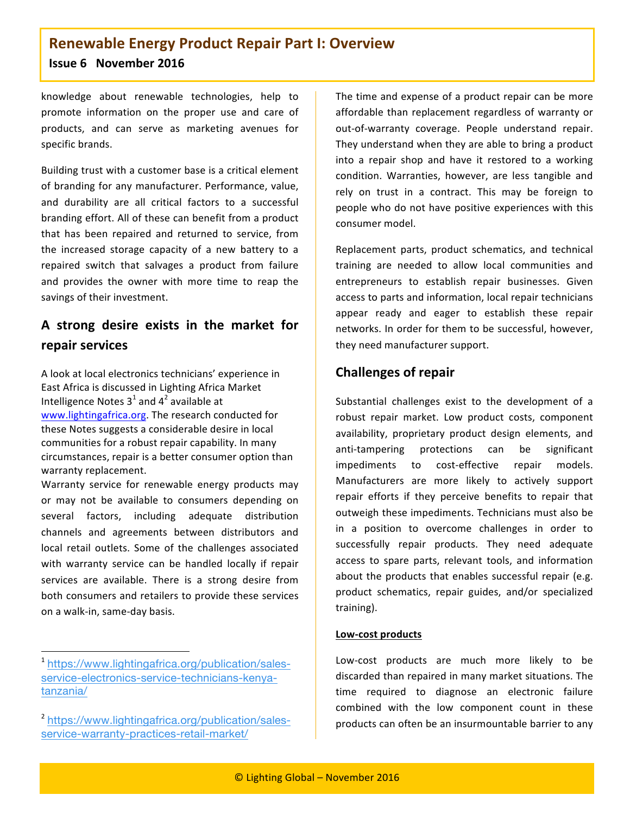knowledge about renewable technologies, help to promote information on the proper use and care of products, and can serve as marketing avenues for specific brands.

Building trust with a customer base is a critical element of branding for any manufacturer. Performance, value, and durability are all critical factors to a successful branding effort. All of these can benefit from a product that has been repaired and returned to service, from the increased storage capacity of a new battery to a repaired switch that salvages a product from failure and provides the owner with more time to reap the savings of their investment.

# **A\* strong\* desire\* exists\* in\* the\* market\* for\* repair services**

A look at local electronics technicians' experience in East Africa is discussed in Lighting Africa Market Intelligence Notes  $3^1$  and  $4^2$  available at www.lightingafrica.org. The research conducted for these Notes suggests a considerable desire in local communities for a robust repair capability. In many circumstances, repair is a better consumer option than warranty replacement.

Warranty service for renewable energy products may or may not be available to consumers depending on several factors, including adequate distribution channels and agreements between distributors and local retail outlets. Some of the challenges associated with warranty service can be handled locally if repair services are available. There is a strong desire from both consumers and retailers to provide these services on a walk-in, same-day basis.

""""""""""""""""""""""""""""""""""""""""""""""""""""""""""""

The time and expense of a product repair can be more affordable than replacement regardless of warranty or out-of-warranty coverage. People understand repair. They understand when they are able to bring a product into a repair shop and have it restored to a working condition. Warranties, however, are less tangible and rely on trust in a contract. This may be foreign to people who do not have positive experiences with this consumer model.

Replacement parts, product schematics, and technical training are needed to allow local communities and entrepreneurs to establish repair businesses. Given access to parts and information, local repair technicians appear ready and eager to establish these repair networks. In order for them to be successful, however, they need manufacturer support.

### **Challenges of repair**

Substantial challenges exist to the development of a robust repair market. Low product costs, component availability, proprietary product design elements, and anti-tampering protections can be significant impediments to cost-effective repair models. Manufacturers are more likely to actively support repair efforts if they perceive benefits to repair that outweigh these impediments. Technicians must also be in a position to overcome challenges in order to successfully repair products. They need adequate access to spare parts, relevant tools, and information about the products that enables successful repair (e.g. product schematics, repair guides, and/or specialized training).

#### Low-cost products

Low-cost products are much more likely to be discarded than repaired in many market situations. The time required to diagnose an electronic failure combined with the low component count in these products can often be an insurmountable barrier to any

<sup>1</sup> https://www.lightingafrica.org/publication/salesservice-electronics-service-technicians-kenyatanzania/

<sup>&</sup>lt;sup>2</sup> https://www.lightingafrica.org/publication/salesservice-warranty-practices-retail-market/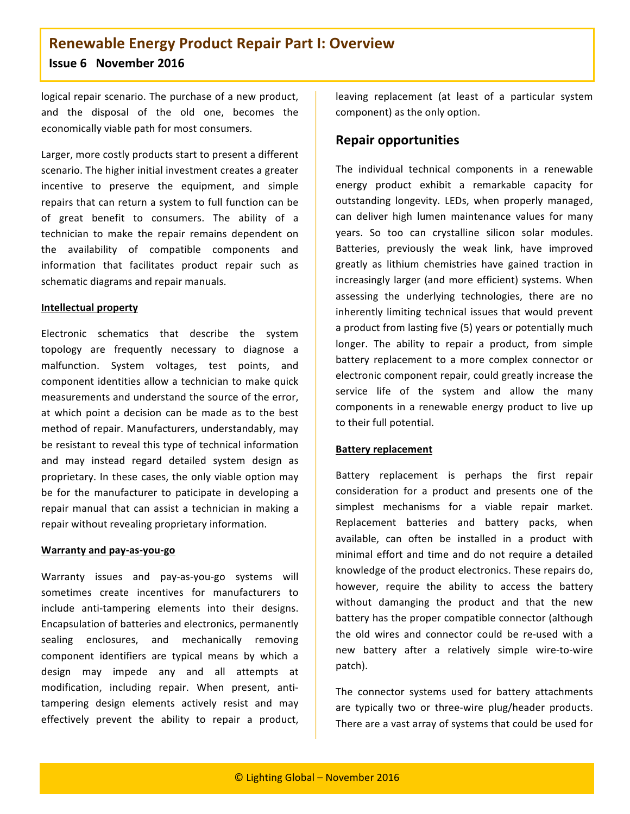logical repair scenario. The purchase of a new product, and the disposal of the old one, becomes the economically viable path for most consumers.

Larger, more costly products start to present a different scenario. The higher initial investment creates a greater incentive to preserve the equipment, and simple repairs that can return a system to full function can be of great benefit to consumers. The ability of a technician to make the repair remains dependent on the availability of compatible components and information that facilitates product repair such as schematic diagrams and repair manuals.

#### **Intellectual property**

Electronic schematics that describe the system topology are frequently necessary to diagnose a malfunction. System voltages, test points, and component identities allow a technician to make quick measurements and understand the source of the error. at which point a decision can be made as to the best method of repair. Manufacturers, understandably, may be resistant to reveal this type of technical information and may instead regard detailed system design as proprietary. In these cases, the only viable option may be for the manufacturer to paticipate in developing a repair manual that can assist a technician in making a repair without revealing proprietary information.

#### **Warranty and pay-as-you-go**

Warranty issues and pay-as-you-go systems will sometimes create incentives for manufacturers to include anti-tampering elements into their designs. Encapsulation of batteries and electronics, permanently sealing enclosures, and mechanically removing component identifiers are typical means by which a design may impede any and all attempts at modification, including repair. When present, antitampering design elements actively resist and may effectively prevent the ability to repair a product,

leaving replacement (at least of a particular system component) as the only option.

#### **Repair\*opportunities**

The individual technical components in a renewable energy product exhibit a remarkable capacity for outstanding longevity. LEDs, when properly managed, can deliver high lumen maintenance values for many years. So too can crystalline silicon solar modules. Batteries, previously the weak link, have improved greatly as lithium chemistries have gained traction in increasingly larger (and more efficient) systems. When assessing the underlying technologies, there are no inherently limiting technical issues that would prevent a product from lasting five (5) years or potentially much longer. The ability to repair a product, from simple battery replacement to a more complex connector or electronic component repair, could greatly increase the service life of the system and allow the many components in a renewable energy product to live up to their full potential.

#### **Battery replacement**

Battery replacement is perhaps the first repair consideration for a product and presents one of the simplest mechanisms for a viable repair market. Replacement batteries and battery packs, when available, can often be installed in a product with minimal effort and time and do not require a detailed knowledge of the product electronics. These repairs do, however, require the ability to access the battery without damanging the product and that the new battery has the proper compatible connector (although the old wires and connector could be re-used with a new battery after a relatively simple wire-to-wire patch).

The connector systems used for battery attachments are typically two or three-wire plug/header products. There are a vast array of systems that could be used for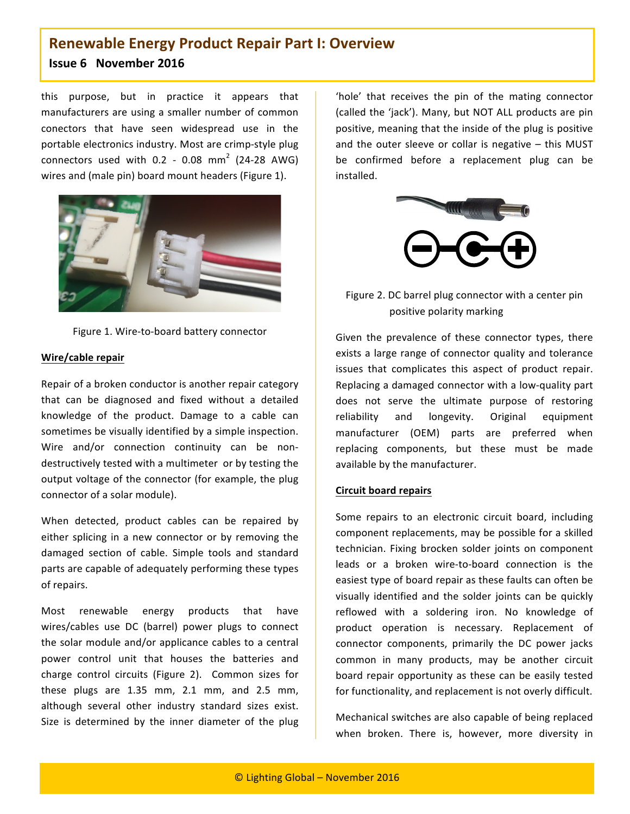this purpose, but in practice it appears that manufacturers are using a smaller number of common conectors that have seen widespread use in the portable electronics industry. Most are crimp-style plug connectors used with  $0.2$  - 0.08 mm<sup>2</sup> (24-28 AWG) wires and (male pin) board mount headers (Figure 1).



Figure 1. Wire-to-board battery connector

#### **Wire/cable repair**

Repair of a broken conductor is another repair category that can be diagnosed and fixed without a detailed knowledge of the product. Damage to a cable can sometimes be visually identified by a simple inspection. Wire and/or connection continuity can be nondestructively tested with a multimeter or by testing the output voltage of the connector (for example, the plug connector of a solar module).

When detected, product cables can be repaired by either splicing in a new connector or by removing the damaged section of cable. Simple tools and standard parts are capable of adequately performing these types of repairs.

Most renewable energy products that have wires/cables use DC (barrel) power plugs to connect the solar module and/or applicance cables to a central power control unit that houses the batteries and charge control circuits (Figure 2). Common sizes for these plugs are  $1.35$  mm,  $2.1$  mm, and  $2.5$  mm, although several other industry standard sizes exist. Size is determined by the inner diameter of the plug

'hole' that receives the pin of the mating connector (called the 'jack'). Many, but NOT ALL products are pin positive, meaning that the inside of the plug is positive and the outer sleeve or collar is negative  $-$  this MUST be confirmed before a replacement plug can be installed."



Figure 2. DC barrel plug connector with a center pin positive polarity marking

Given the prevalence of these connector types, there exists a large range of connector quality and tolerance issues that complicates this aspect of product repair. Replacing a damaged connector with a low-quality part does not serve the ultimate purpose of restoring reliability and longevity. Original equipment manufacturer (OEM) parts are preferred when replacing components, but these must be made available by the manufacturer.

#### **Circuit board repairs**

Some repairs to an electronic circuit board, including component replacements, may be possible for a skilled technician. Fixing brocken solder joints on component leads or a broken wire-to-board connection is the easiest type of board repair as these faults can often be visually identified and the solder joints can be quickly reflowed with a soldering iron. No knowledge of product operation is necessary. Replacement of connector components, primarily the DC power jacks common in many products, may be another circuit board repair opportunity as these can be easily tested for functionality, and replacement is not overly difficult.

Mechanical switches are also capable of being replaced when broken. There is, however, more diversity in